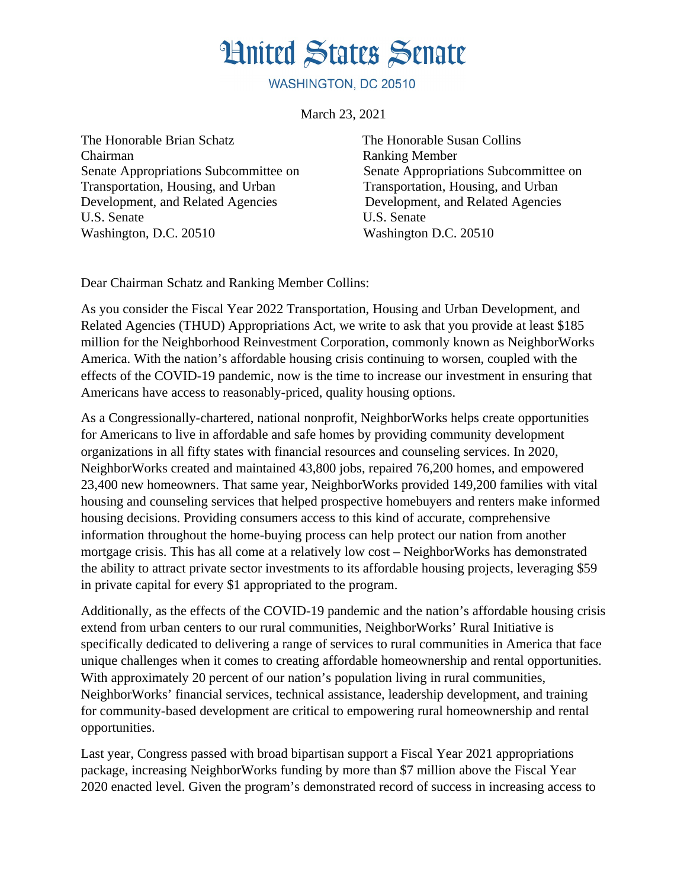## **Hnited States Senate**

WASHINGTON, DC 20510

March 23, 2021

The Honorable Brian Schatz The Honorable Susan Collins Chairman Ranking Member Transportation, Housing, and Urban Transportation, Housing, and Urban Development, and Related Agencies Development, and Related Agencies U.S. Senate U.S. Senate Washington, D.C. 20510 Washington D.C. 20510

Senate Appropriations Subcommittee on Senate Appropriations Subcommittee on

Dear Chairman Schatz and Ranking Member Collins:

As you consider the Fiscal Year 2022 Transportation, Housing and Urban Development, and Related Agencies (THUD) Appropriations Act, we write to ask that you provide at least \$185 million for the Neighborhood Reinvestment Corporation, commonly known as NeighborWorks America. With the nation's affordable housing crisis continuing to worsen, coupled with the effects of the COVID-19 pandemic, now is the time to increase our investment in ensuring that Americans have access to reasonably-priced, quality housing options.

As a Congressionally-chartered, national nonprofit, NeighborWorks helps create opportunities for Americans to live in affordable and safe homes by providing community development organizations in all fifty states with financial resources and counseling services. In 2020, NeighborWorks created and maintained 43,800 jobs, repaired 76,200 homes, and empowered 23,400 new homeowners. That same year, NeighborWorks provided 149,200 families with vital housing and counseling services that helped prospective homebuyers and renters make informed housing decisions. Providing consumers access to this kind of accurate, comprehensive information throughout the home-buying process can help protect our nation from another mortgage crisis. This has all come at a relatively low cost – NeighborWorks has demonstrated the ability to attract private sector investments to its affordable housing projects, leveraging \$59 in private capital for every \$1 appropriated to the program.

Additionally, as the effects of the COVID-19 pandemic and the nation's affordable housing crisis extend from urban centers to our rural communities, NeighborWorks' Rural Initiative is specifically dedicated to delivering a range of services to rural communities in America that face unique challenges when it comes to creating affordable homeownership and rental opportunities. With approximately 20 percent of our nation's population living in rural communities, NeighborWorks' financial services, technical assistance, leadership development, and training for community-based development are critical to empowering rural homeownership and rental opportunities.

Last year, Congress passed with broad bipartisan support a Fiscal Year 2021 appropriations package, increasing NeighborWorks funding by more than \$7 million above the Fiscal Year 2020 enacted level. Given the program's demonstrated record of success in increasing access to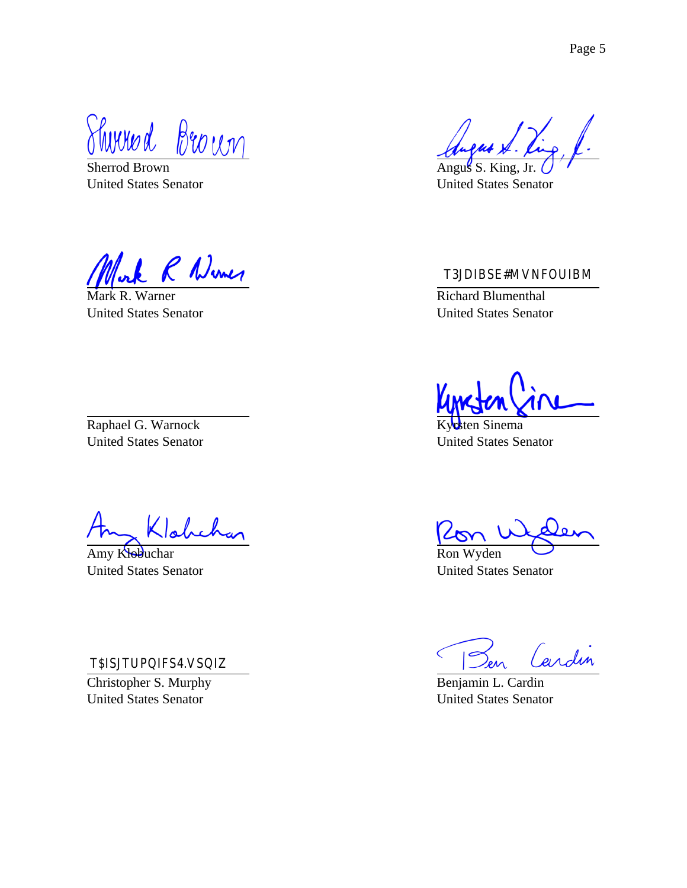Thured Brown

R R Numer

Sherrod Brown United States Senator

Mark R. Warner United States Senator

Angus S. King, United States Senator

MnMMMMNJLKMU

Richard Blumenthal United States Senator

Kyrsten Sinema United States Senator

Ror

Ron Wyden United States Senator

Amy Klobuchar United States Senator

Christopher S. Murphy United States Senator

n n M D E M ' o M )

Cardin

Benjamin L. Cardin United States Senator

Raphael G. Warnock

United States Senator

Tobehan